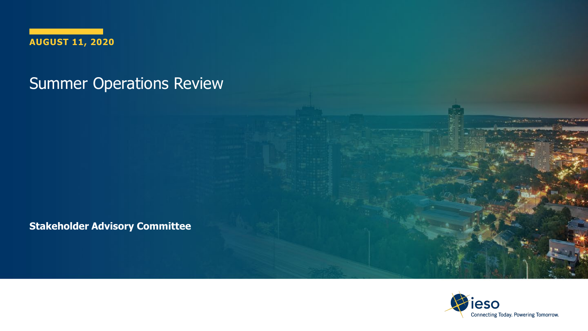

#### Summer Operations Review

**Stakeholder Advisory Committee**



**Contract Contract**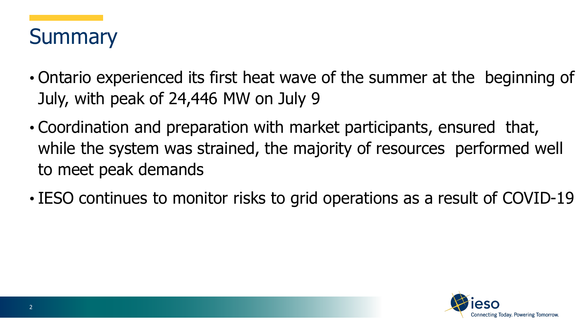

- Ontario experienced its first heat wave of the summer at the beginning of July, with peak of 24,446 MW on July 9
- Coordination and preparation with market participants, ensured that, while the system was strained, the majority of resources performed well to meet peak demands
- IESO continues to monitor risks to grid operations as a result of COVID-19

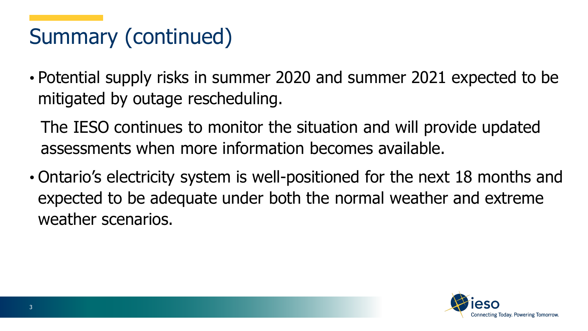# Summary (continued)

• Potential supply risks in summer 2020 and summer 2021 expected to be mitigated by outage rescheduling.

The IESO continues to monitor the situation and will provide updated assessments when more information becomes available.

• Ontario's electricity system is well-positioned for the next 18 months and expected to be adequate under both the normal weather and extreme weather scenarios.

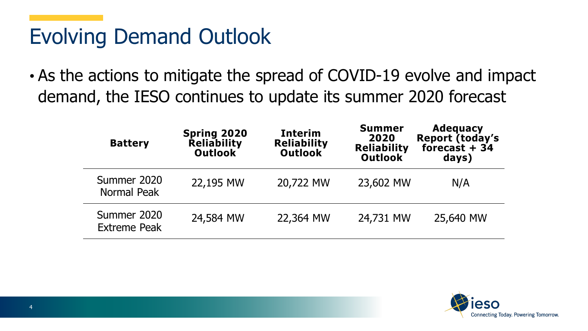#### Evolving Demand Outlook

• As the actions to mitigate the spread of COVID-19 evolve and impact demand, the IESO continues to update its summer 2020 forecast

| <b>Battery</b>                     | Spring 2020<br>Reliability<br><b>Outlook</b> | <b>Interim</b><br><b>Reliability</b><br><b>Outlook</b> | <b>Summer</b><br>2020<br><b>Reliability</b><br>Outlook | <b>Adequacy</b><br>Report (today's<br>forecast $+34$<br>days) |
|------------------------------------|----------------------------------------------|--------------------------------------------------------|--------------------------------------------------------|---------------------------------------------------------------|
| Summer 2020<br>Normal Peak         | 22,195 MW                                    | 20,722 MW                                              | 23,602 MW                                              | N/A                                                           |
| Summer 2020<br><b>Extreme Peak</b> | 24,584 MW                                    | 22,364 MW                                              | 24,731 MW                                              | 25,640 MW                                                     |

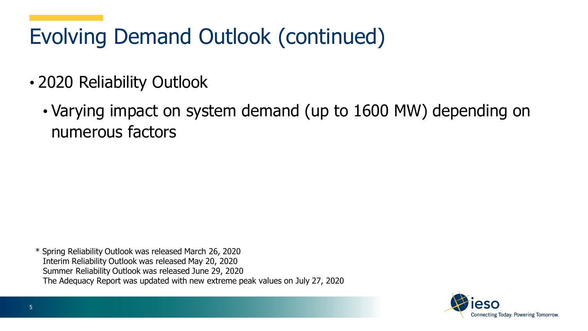# Evolving Demand Outlook (continued)

- 2020 Reliability Outlook
	- Varying impact on system demand (up to 1600 MW) depending on numerous factors

\* Spring Reliability Outlook was released March 26, 2020 Interim Reliability Outlook was released May 20, 2020 Summer Reliability Outlook was released June 29, 2020 The Adequacy Report was updated with new extreme peak values on July 27, 2020

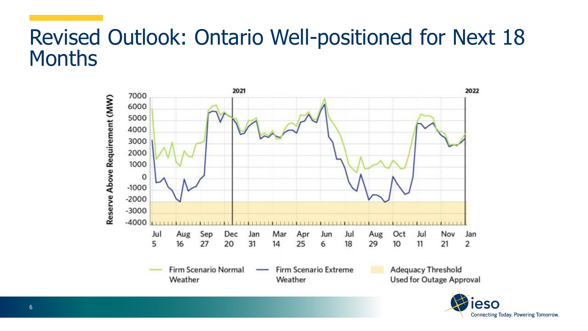#### Revised Outlook: Ontario Well-positioned for Next 18 **Months**



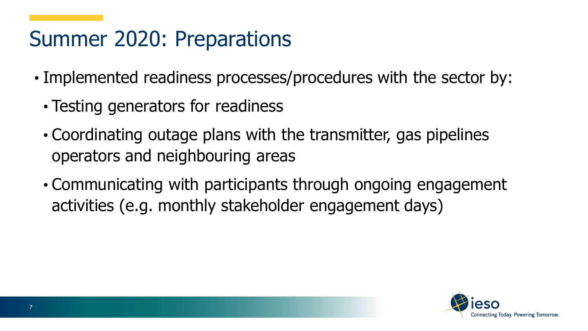#### Summer 2020: Preparations

- Implemented readiness processes/procedures with the sector by:
	- Testing generators for readiness
	- Coordinating outage plans with the transmitter, gas pipelines operators and neighbouring areas
	- Communicating with participants through ongoing engagement activities (e.g. monthly stakeholder engagement days)

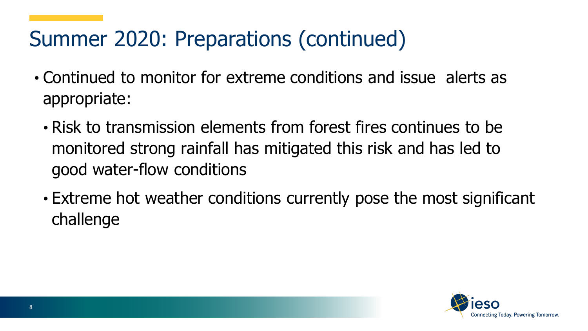## Summer 2020: Preparations (continued)

- Continued to monitor for extreme conditions and issue alerts as appropriate:
	- Risk to transmission elements from forest fires continues to be monitored strong rainfall has mitigated this risk and has led to good water-flow conditions
	- Extreme hot weather conditions currently pose the most significant challenge

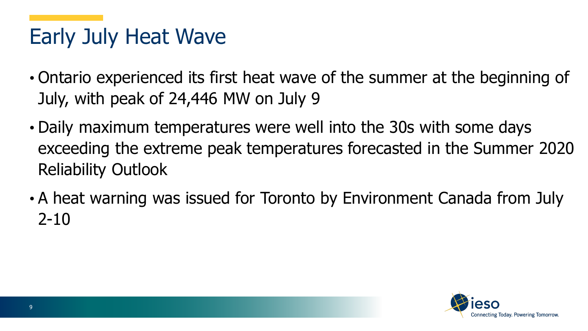### Early July Heat Wave

- Ontario experienced its first heat wave of the summer at the beginning of July, with peak of 24,446 MW on July 9
- Daily maximum temperatures were well into the 30s with some days exceeding the extreme peak temperatures forecasted in the Summer 2020 Reliability Outlook
- A heat warning was issued for Toronto by Environment Canada from July  $2 - 10$

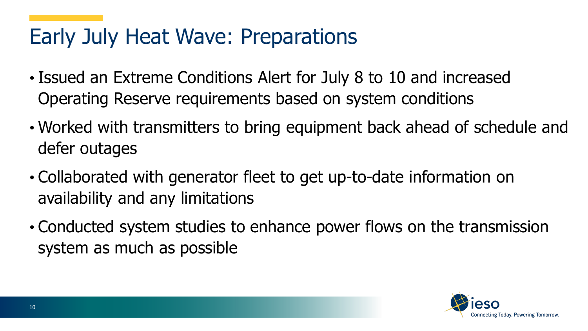#### Early July Heat Wave: Preparations

- Issued an Extreme Conditions Alert for July 8 to 10 and increased Operating Reserve requirements based on system conditions
- Worked with transmitters to bring equipment back ahead of schedule and defer outages
- Collaborated with generator fleet to get up-to-date information on availability and any limitations
- Conducted system studies to enhance power flows on the transmission system as much as possible

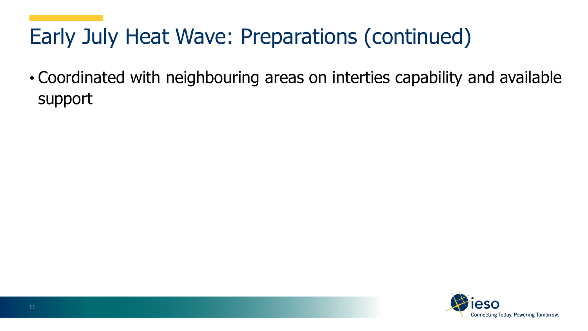# Early July Heat Wave: Preparations (continued)

• Coordinated with neighbouring areas on interties capability and available support

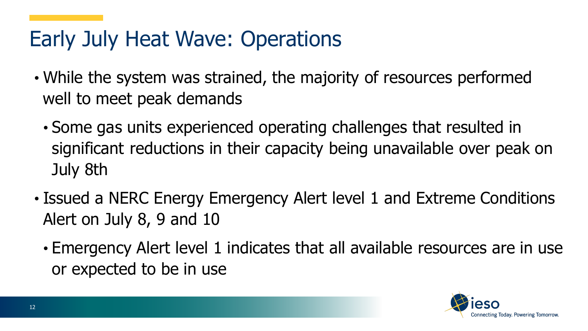#### Early July Heat Wave: Operations

- While the system was strained, the majority of resources performed well to meet peak demands
	- Some gas units experienced operating challenges that resulted in significant reductions in their capacity being unavailable over peak on July 8th
- Issued a NERC Energy Emergency Alert level 1 and Extreme Conditions Alert on July 8, 9 and 10
	- Emergency Alert level 1 indicates that all available resources are in use or expected to be in use

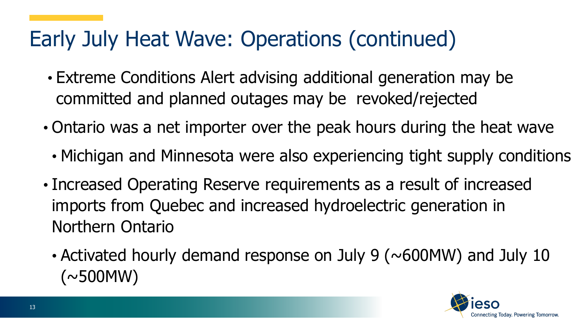#### Early July Heat Wave: Operations (continued)

- Extreme Conditions Alert advising additional generation may be committed and planned outages may be revoked/rejected
- Ontario was a net importer over the peak hours during the heat wave
	- Michigan and Minnesota were also experiencing tight supply conditions
- Increased Operating Reserve requirements as a result of increased imports from Quebec and increased hydroelectric generation in Northern Ontario
	- Activated hourly demand response on July 9 ( $\sim$  600MW) and July 10  $(\sim$ 500MW)

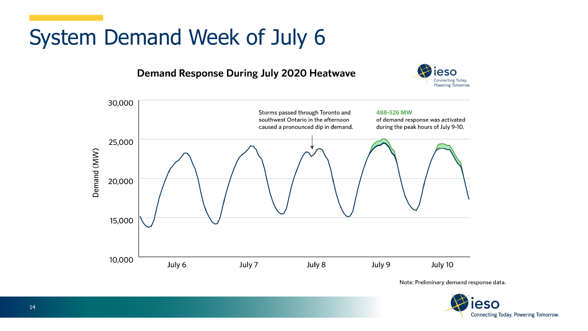## System Demand Week of July 6

#### **Demand Response During July 2020 Heatwave**





Note: Preliminary demand response data.